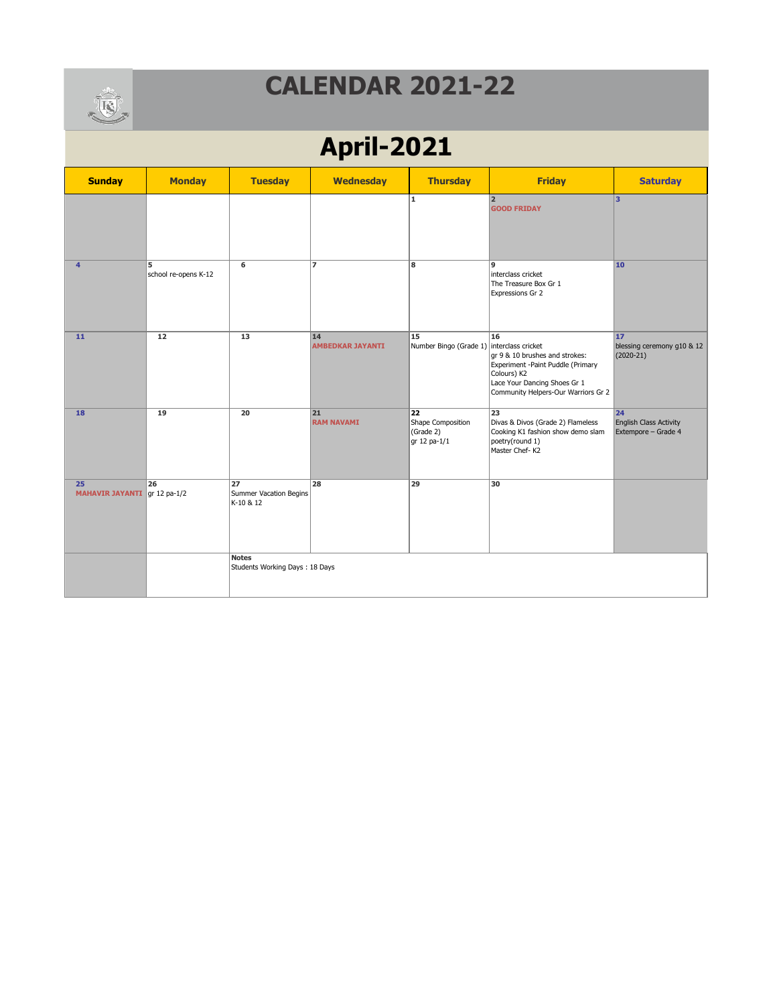

# **April-2021**

| <b>Sunday</b>                      | <b>Monday</b>             | <b>Tuesday</b>                            | <b>Wednesday</b>              | <b>Thursday</b>                                              | <b>Friday</b>                                                                                                                                                   | <b>Saturday</b>                                                  |
|------------------------------------|---------------------------|-------------------------------------------|-------------------------------|--------------------------------------------------------------|-----------------------------------------------------------------------------------------------------------------------------------------------------------------|------------------------------------------------------------------|
|                                    |                           |                                           |                               | $\mathbf{1}$                                                 | 2 <br><b>GOOD FRIDAY</b>                                                                                                                                        | lз                                                               |
| $\overline{4}$                     | 5<br>school re-opens K-12 | 6                                         | $\overline{z}$                | 8                                                            | 9<br>interclass cricket<br>The Treasure Box Gr 1<br>Expressions Gr 2                                                                                            | 10                                                               |
| 11                                 | 12                        | 13                                        | 14<br><b>AMBEDKAR JAYANTI</b> | $\overline{15}$<br>Number Bingo (Grade 1) interclass cricket | 16<br>gr 9 & 10 brushes and strokes:<br>Experiment -Paint Puddle (Primary<br>Colours) K2<br>Lace Your Dancing Shoes Gr 1<br>Community Helpers-Our Warriors Gr 2 | 17<br>blessing ceremony g10 & 12<br>$(2020-21)$                  |
| 18                                 | 19                        | 20                                        | 21<br><b>RAM NAVAMI</b>       | 22<br>Shape Composition<br>(Grade 2)<br>gr 12 pa-1/1         | 23<br>Divas & Divos (Grade 2) Flameless<br>Cooking K1 fashion show demo slam<br>poetry(round 1)<br>Master Chef-K2                                               | $\overline{24}$<br>English Class Activity<br>Extempore - Grade 4 |
| 25<br>MAHAVIR JAYANTI gr 12 pa-1/2 | 26                        | 27<br>Summer Vacation Begins<br>K-10 & 12 | 28                            | 29                                                           | 30                                                                                                                                                              |                                                                  |
|                                    |                           | Notes<br>Students Working Days: 18 Days   |                               |                                                              |                                                                                                                                                                 |                                                                  |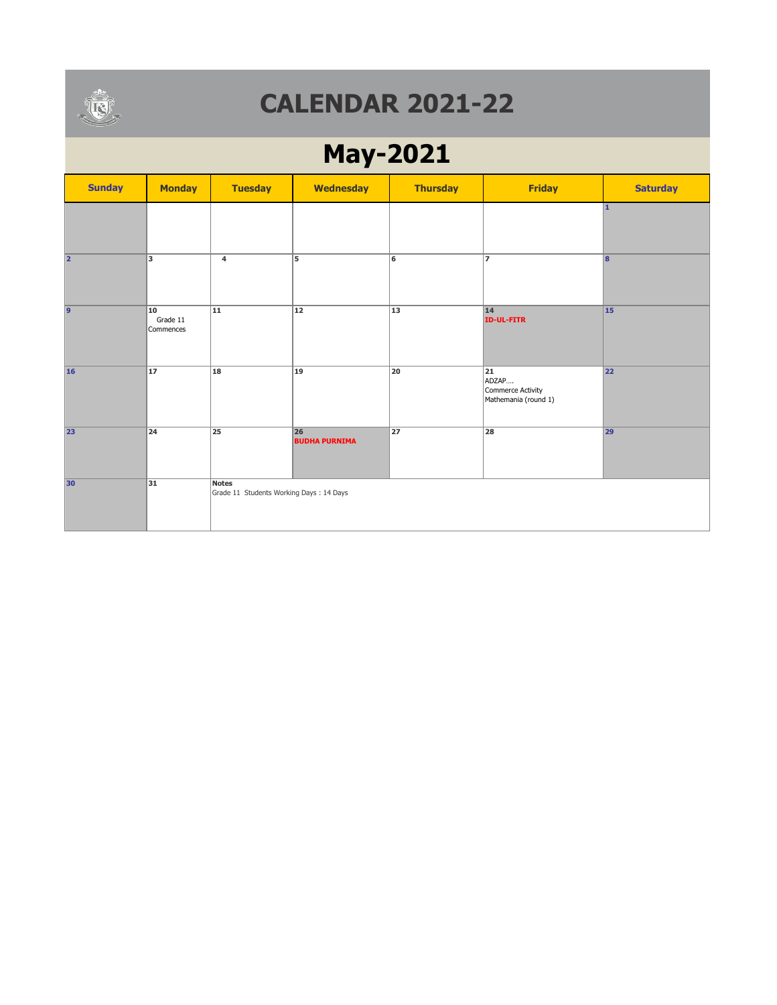

# **May-2021**

| <b>Sunday</b>  | <b>Monday</b>               | <b>Tuesday</b>                                          | <b>Wednesday</b>           | <b>Thursday</b> | <b>Friday</b>                                            | <b>Saturday</b> |
|----------------|-----------------------------|---------------------------------------------------------|----------------------------|-----------------|----------------------------------------------------------|-----------------|
|                |                             |                                                         |                            |                 |                                                          | 1.              |
| 2              | 3                           | 4                                                       | 5                          | 6               | $\overline{7}$                                           | 8               |
| $\overline{9}$ | 10<br>Grade 11<br>Commences | $\overline{11}$                                         | $\overline{12}$            | $\overline{13}$ | 14<br><b>ID-UL-FITR</b>                                  | 15              |
| 16             | 17                          | 18                                                      | $ 19\rangle$               | 20              | 21<br>ADZAP<br>Commerce Activity<br>Mathemania (round 1) | 22              |
| 23             | 24                          | 25                                                      | 26<br><b>BUDHA PURNIMA</b> | 27              | 28                                                       | 29              |
| 30             | 31                          | <b>Notes</b><br>Grade 11 Students Working Days: 14 Days |                            |                 |                                                          |                 |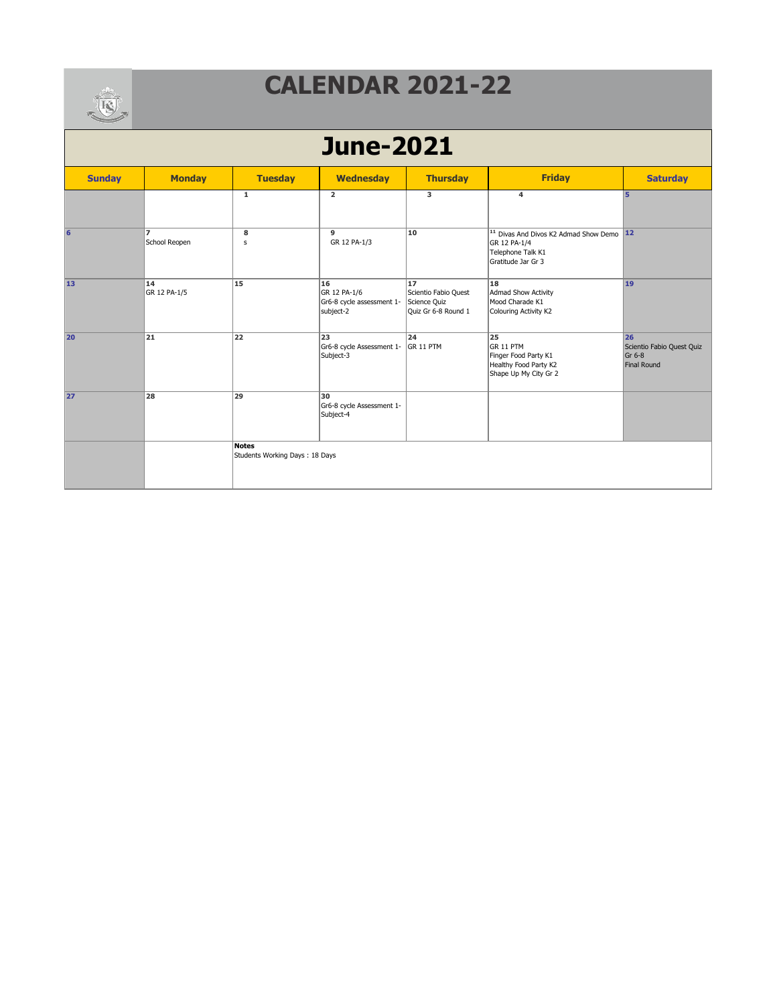

| <b>CONTRACTOR</b> |                     |                                                |                                                              |                                                                   |                                                                                                                |                                                          |  |  |  |
|-------------------|---------------------|------------------------------------------------|--------------------------------------------------------------|-------------------------------------------------------------------|----------------------------------------------------------------------------------------------------------------|----------------------------------------------------------|--|--|--|
| <b>June-2021</b>  |                     |                                                |                                                              |                                                                   |                                                                                                                |                                                          |  |  |  |
| <b>Sunday</b>     | <b>Monday</b>       | <b>Tuesday</b>                                 | <b>Wednesday</b>                                             | <b>Thursday</b>                                                   | <b>Friday</b>                                                                                                  | <b>Saturday</b>                                          |  |  |  |
|                   |                     | $\mathbf{1}$                                   | $\overline{2}$                                               | 3                                                                 | 4                                                                                                              | 15                                                       |  |  |  |
| 6                 | 17<br>School Reopen | 8<br>$\sf s$                                   | 9<br>GR 12 PA-1/3                                            | 10                                                                | <sup>11</sup> Divas And Divos K2 Admad Show Demo 12<br>GR 12 PA-1/4<br>Telephone Talk K1<br>Gratitude Jar Gr 3 |                                                          |  |  |  |
| 13                | 14<br>GR 12 PA-1/5  | 15                                             | 16<br>GR 12 PA-1/6<br>Gr6-8 cycle assessment 1-<br>subject-2 | 17<br>Scientio Fabio Quest<br>Science Quiz<br>Quiz Gr 6-8 Round 1 | 18<br>Admad Show Activity<br>Mood Charade K1<br>Colouring Activity K2                                          | 19                                                       |  |  |  |
| 20                | 21                  | 22                                             | 23<br>Gr6-8 cycle Assessment 1-<br>Subject-3                 | 24<br>GR 11 PTM                                                   | 25<br>GR 11 PTM<br>Finger Food Party K1<br>Healthy Food Party K2<br>Shape Up My City Gr 2                      | 26<br>Scientio Fabio Quest Quiz<br>Gr 6-8<br>Final Round |  |  |  |
| 27                | $\overline{28}$     | $\overline{29}$                                | 30<br>Gr6-8 cycle Assessment 1-<br>Subject-4                 |                                                                   |                                                                                                                |                                                          |  |  |  |
|                   |                     | <b>Notes</b><br>Students Working Days: 18 Days |                                                              |                                                                   |                                                                                                                |                                                          |  |  |  |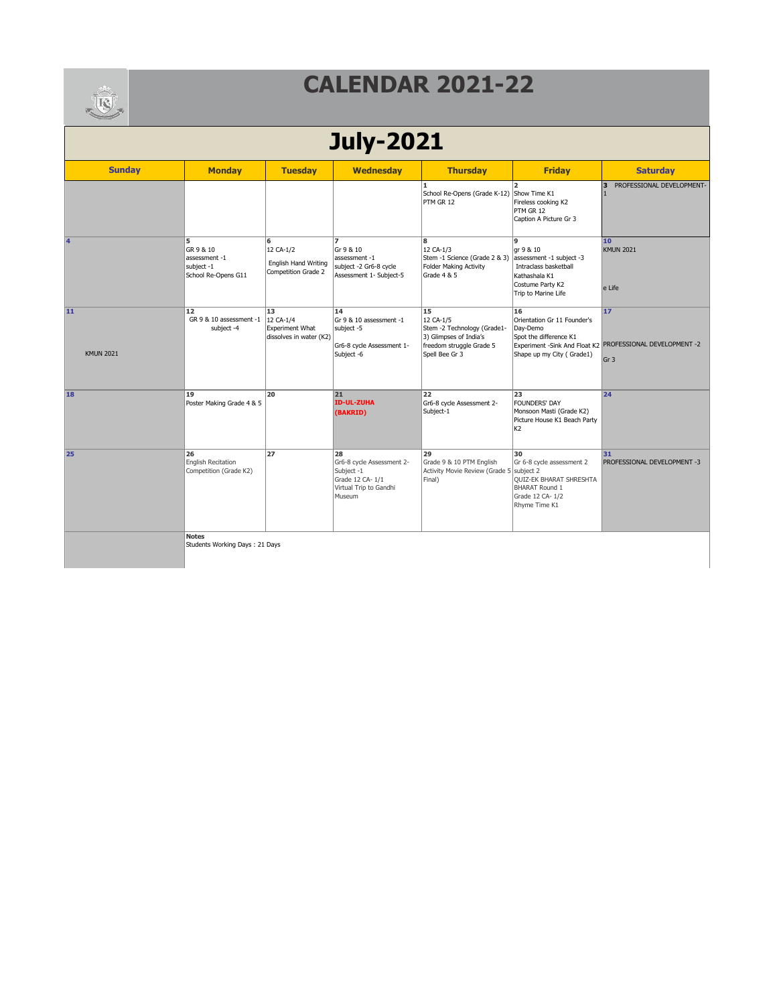

| <b>CONTRACTOR</b>      |                                                                      |                                                                      |                                                                                                      |                                                                                                                        |                                                                                                                                 |                                                                                    |  |  |
|------------------------|----------------------------------------------------------------------|----------------------------------------------------------------------|------------------------------------------------------------------------------------------------------|------------------------------------------------------------------------------------------------------------------------|---------------------------------------------------------------------------------------------------------------------------------|------------------------------------------------------------------------------------|--|--|
| <b>July-2021</b>       |                                                                      |                                                                      |                                                                                                      |                                                                                                                        |                                                                                                                                 |                                                                                    |  |  |
| <b>Sunday</b>          | <b>Monday</b>                                                        | <b>Tuesday</b>                                                       | <b>Wednesday</b>                                                                                     | <b>Thursday</b>                                                                                                        | <b>Friday</b>                                                                                                                   | <b>Saturday</b>                                                                    |  |  |
|                        |                                                                      |                                                                      |                                                                                                      | 1.<br>School Re-Opens (Grade K-12) Show Time K1<br>PTM GR 12                                                           | $\overline{2}$<br>Fireless cooking K2<br>PTM GR 12<br>Caption A Picture Gr 3                                                    | PROFESSIONAL DEVELOPMENT-<br>3                                                     |  |  |
| 14                     | 5<br>GR 9 & 10<br>assessment -1<br>subject -1<br>School Re-Opens G11 | 6<br>12 CA-1/2<br>English Hand Writing<br>Competition Grade 2        | $\overline{ }$<br>Gr 9 & 10<br>assessment -1<br>subject -2 Gr6-8 cycle<br>Assessment 1- Subject-5    | 8<br>12 CA-1/3<br>Stem -1 Science (Grade 2 & 3)<br>Folder Making Activity<br>Grade 4 & 5                               | 9<br>gr 9 & 10<br>assessment -1 subject -3<br>Intraclass basketball<br>Kathashala K1<br>Costume Party K2<br>Trip to Marine Life | 10<br><b>KMUN 2021</b><br>e Life                                                   |  |  |
| 11<br><b>KMUN 2021</b> | 12<br>GR 9 & 10 assessment -1<br>subject -4                          | 13<br>12 CA-1/4<br><b>Experiment What</b><br>dissolves in water (K2) | 14<br>Gr 9 & 10 assessment -1<br>subject -5<br>Gr6-8 cycle Assessment 1-<br>Subject -6               | 15<br>12 CA-1/5<br>Stem -2 Technology (Grade1-<br>3) Glimpses of India's<br>freedom struggle Grade 5<br>Spell Bee Gr 3 | 16<br>Orientation Gr 11 Founder's<br>Day-Demo<br>Spot the difference K1<br>Shape up my City (Grade1)                            | 17<br>Experiment -Sink And Float K2 PROFESSIONAL DEVELOPMENT -2<br>Gr <sub>3</sub> |  |  |
| 18                     | 19<br>Poster Making Grade 4 & 5                                      | 20                                                                   | 21<br><b>ID-UL-ZUHA</b><br>(BAKRID)                                                                  | 22<br>Gr6-8 cycle Assessment 2-<br>Subject-1                                                                           | 23<br><b>FOUNDERS' DAY</b><br>Monsoon Masti (Grade K2)<br>Picture House K1 Beach Party<br>K <sub>2</sub>                        | 24                                                                                 |  |  |
| 25                     | 26<br><b>English Recitation</b><br>Competition (Grade K2)            | 27                                                                   | 28<br>Gr6-8 cycle Assessment 2-<br>Subject -1<br>Grade 12 CA-1/1<br>Virtual Trip to Gandhi<br>Museum | 29<br>Grade 9 & 10 PTM English<br>Activity Movie Review (Grade 5 subject 2<br>Final)                                   | 30<br>Gr 6-8 cycle assessment 2<br>QUIZ-EK BHARAT SHRESHTA<br><b>BHARAT Round 1</b><br>Grade 12 CA- 1/2<br>Rhyme Time K1        | 31<br>PROFESSIONAL DEVELOPMENT -3                                                  |  |  |
|                        | <b>Notes</b><br>Students Working Days: 21 Days                       |                                                                      |                                                                                                      |                                                                                                                        |                                                                                                                                 |                                                                                    |  |  |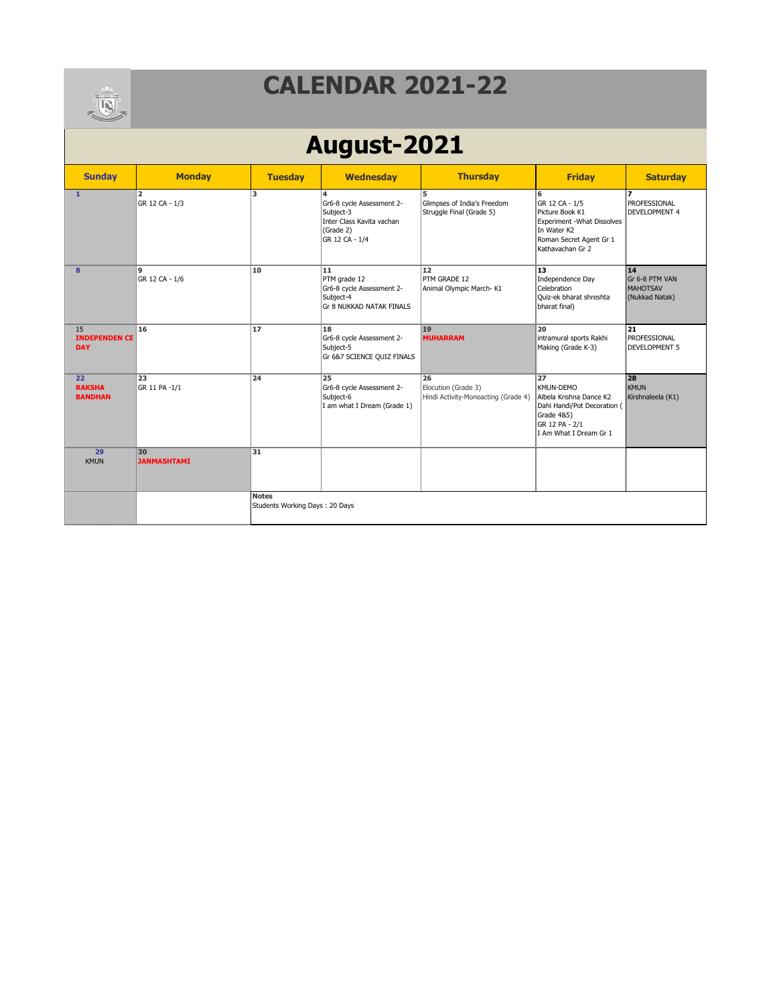

# **August-2021**

| <b>Sunday</b>                            | <b>Monday</b>            | <b>Tuesday</b>                                 | <b>Wednesday</b>                                                                                        | <b>Thursday</b>                                                  | <b>Friday</b>                                                                                                                       | <b>Saturday</b>                                           |
|------------------------------------------|--------------------------|------------------------------------------------|---------------------------------------------------------------------------------------------------------|------------------------------------------------------------------|-------------------------------------------------------------------------------------------------------------------------------------|-----------------------------------------------------------|
| $\mathbf{1}$                             | 2<br>GR 12 CA - 1/3      | 3                                              | 4<br>Gr6-8 cycle Assessment 2-<br>Subject-3<br>Inter Class Kavita vachan<br>(Grade 2)<br>GR 12 CA - 1/4 | 5<br>Glimpses of India's Freedom<br>Struggle Final (Grade 5)     | 6<br>GR 12 CA - 1/5<br>Picture Book K1<br>Experiment - What Dissolves<br>In Water K2<br>Roman Secret Agent Gr 1<br>Kathavachan Gr 2 | PROFESSIONAL<br><b>DEVELOPMENT 4</b>                      |
| 8                                        | 9<br>GR 12 CA - 1/6      | 10                                             | 11<br>PTM grade 12<br>Gr6-8 cycle Assessment 2-<br>Subject-4<br>Gr 8 NUKKAD NATAK FINALS                | 12<br>PTM GRADE 12<br>Animal Olympic March-K1                    | 13<br>Independence Day<br>Celebration<br>Ouiz-ek bharat shreshta<br>bharat final)                                                   | 14<br>Gr 6-8 PTM VAN<br><b>MAHOTSAV</b><br>(Nukkad Natak) |
| 15<br><b>INDEPENDEN CE</b><br><b>DAY</b> | 16                       | 17                                             | 18<br>Gr6-8 cycle Assessment 2-<br>Subject-5<br>Gr 6&7 SCIENCE QUIZ FINALS                              | 19<br><b>MUHARRAM</b>                                            | 20<br>intramural sports Rakhi<br>Making (Grade K-3)                                                                                 | 21<br>PROFESSIONAL<br><b>DEVELOPMENT 5</b>                |
| 22<br><b>RAKSHA</b><br><b>BANDHAN</b>    | 23<br>GR 11 PA -1/1      | 24                                             | 25<br>Gr6-8 cycle Assessment 2-<br>Subject-6<br>I am what I Dream (Grade 1)                             | 26<br>Elocution (Grade 3)<br>Hindi Activity-Monoacting (Grade 4) | 27<br>KMUN-DEMO<br>Albela Krishna Dance K2<br>Dahi Handi/Pot Decoration (<br>Grade 4&5)<br>GR 12 PA - 2/1<br>I Am What I Dream Gr 1 | 28<br><b>KMUN</b><br>Kirshnaleela (K1)                    |
| 29<br>KMUN                               | 30<br><b>JANMASHTAMI</b> | 31                                             |                                                                                                         |                                                                  |                                                                                                                                     |                                                           |
|                                          |                          | <b>Notes</b><br>Students Working Days: 20 Days |                                                                                                         |                                                                  |                                                                                                                                     |                                                           |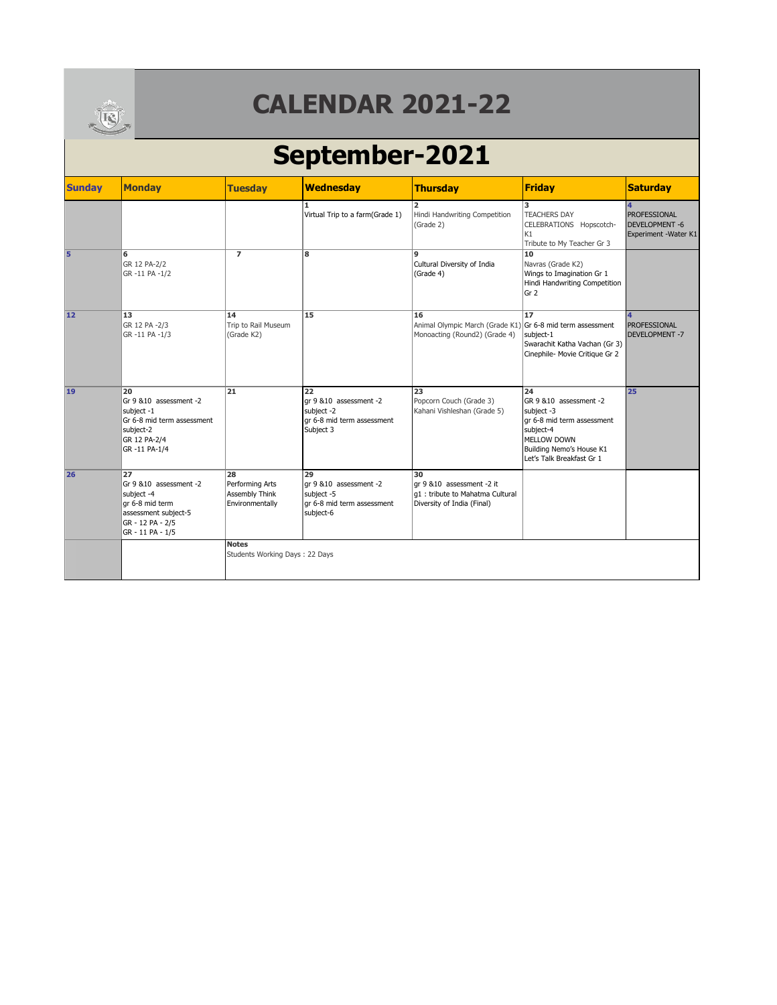

# **September-2021**

| <b>Sunday</b> | <b>Monday</b>                                                                                                                   | <b>Tuesday</b>                                                    | <b>Wednesday</b>                                                                       | <b>Thursday</b>                                                                                   | <b>Friday</b>                                                                                                                                                         | <b>Saturday</b>                                                       |
|---------------|---------------------------------------------------------------------------------------------------------------------------------|-------------------------------------------------------------------|----------------------------------------------------------------------------------------|---------------------------------------------------------------------------------------------------|-----------------------------------------------------------------------------------------------------------------------------------------------------------------------|-----------------------------------------------------------------------|
|               |                                                                                                                                 |                                                                   | 1<br>Virtual Trip to a farm(Grade 1)                                                   | Hindi Handwriting Competition<br>(Grade 2)                                                        | 3<br><b>TEACHERS DAY</b><br>CELEBRATIONS Hopscotch-<br>K1<br>Tribute to My Teacher Gr 3                                                                               | <b>PROFESSIONAL</b><br><b>DEVELOPMENT -6</b><br>Experiment - Water K1 |
| 5             | 6<br>GR 12 PA-2/2<br>GR-11 PA-1/2                                                                                               | $\overline{7}$                                                    | 8                                                                                      | <b>g</b><br>Cultural Diversity of India<br>(Grade 4)                                              | 10<br>Navras (Grade K2)<br>Wings to Imagination Gr 1<br>Hindi Handwriting Competition<br>Gr 2                                                                         |                                                                       |
| 12            | 13<br>GR 12 PA -2/3<br>GR-11 PA-1/3                                                                                             | 14<br>Trip to Rail Museum<br>(Grade K2)                           | 15                                                                                     | 16<br>Animal Olympic March (Grade K1) Gr 6-8 mid term assessment<br>Monoacting (Round2) (Grade 4) | 17<br>subject-1<br>Swarachit Katha Vachan (Gr 3)<br>Cinephile- Movie Critique Gr 2                                                                                    | 4<br>PROFESSIONAL<br><b>DEVELOPMENT -7</b>                            |
| 19            | 20<br>Gr 9 & 10 assessment -2<br>subject -1<br>Gr 6-8 mid term assessment<br>subject-2<br>GR 12 PA-2/4<br>GR-11 PA-1/4          | 21                                                                | 22<br>or 9 & 10 assessment -2<br>subject -2<br>ar 6-8 mid term assessment<br>Subject 3 | 23<br>Popcorn Couch (Grade 3)<br>Kahani Vishleshan (Grade 5)                                      | 24<br>GR 9 & 10 assessment -2<br>subject -3<br>gr 6-8 mid term assessment<br>subject-4<br><b>MELLOW DOWN</b><br>Building Nemo's House K1<br>Let's Talk Breakfast Gr 1 | 25                                                                    |
| 26            | 27<br>Gr 9 & 10 assessment - 2<br>subject -4<br>gr 6-8 mid term<br>assessment subject-5<br>GR - 12 PA - 2/5<br>GR - 11 PA - 1/5 | 28<br>Performing Arts<br><b>Assembly Think</b><br>Environmentally | 29<br>ar 9 &10 assessment -2<br>subject -5<br>gr 6-8 mid term assessment<br>subject-6  | 30<br>ar 9 &10 assessment -2 it<br>q1: tribute to Mahatma Cultural<br>Diversity of India (Final)  |                                                                                                                                                                       |                                                                       |
|               |                                                                                                                                 | <b>Notes</b><br>Students Working Days: 22 Days                    |                                                                                        |                                                                                                   |                                                                                                                                                                       |                                                                       |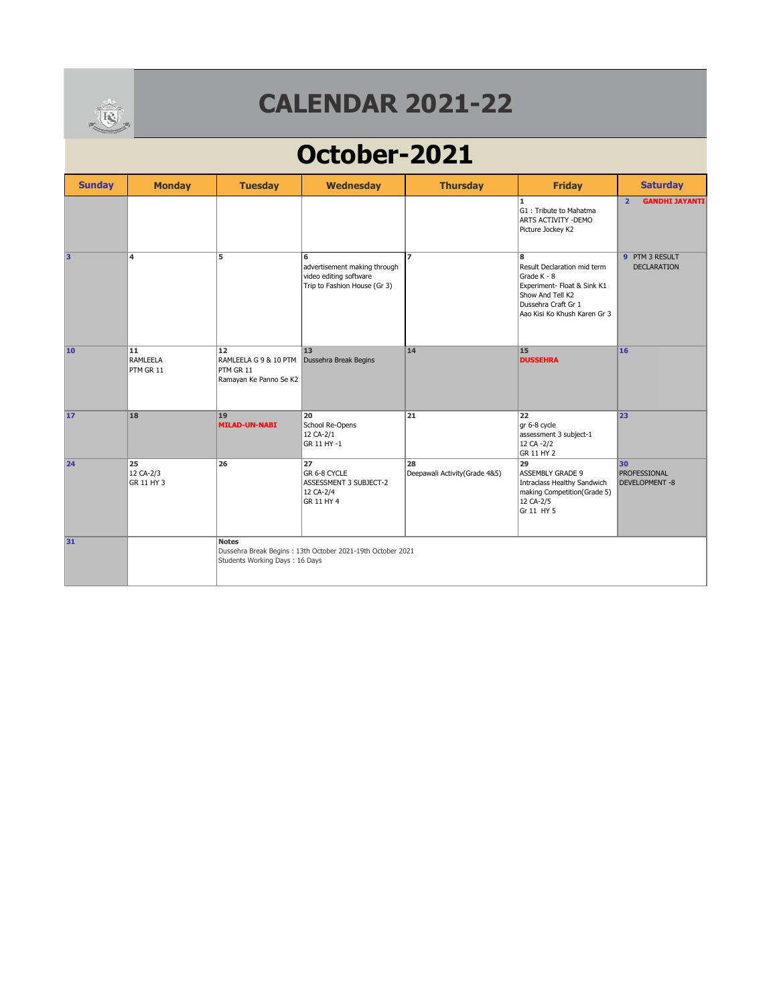

# **October-2021**

| <b>Sunday</b> | <b>Monday</b>                 | <b>Tuesday</b>                                                     | <b>Wednesday</b>                                                                            | <b>Thursday</b>                      | <b>Friday</b>                                                                                                                                             | <b>Saturday</b>                             |
|---------------|-------------------------------|--------------------------------------------------------------------|---------------------------------------------------------------------------------------------|--------------------------------------|-----------------------------------------------------------------------------------------------------------------------------------------------------------|---------------------------------------------|
|               |                               |                                                                    |                                                                                             |                                      | $\mathbf{1}$<br>G1: Tribute to Mahatma<br>ARTS ACTIVITY - DEMO<br>Picture Jockey K2                                                                       | <b>GANDHI JAYANTI</b><br>$\overline{2}$     |
| lз            | $\overline{\mathbf{4}}$       | 5                                                                  | 6<br>advertisement making through<br>video editing software<br>Trip to Fashion House (Gr 3) | $\overline{ }$                       | 8<br>Result Declaration mid term<br>Grade K - 8<br>Experiment- Float & Sink K1<br>Show And Tell K2<br>Dussehra Craft Gr 1<br>Aao Kisi Ko Khush Karen Gr 3 | 9 PTM 3 RESULT<br><b>DECLARATION</b>        |
| 10            | 11<br>RAMLEELA<br>PTM GR 11   | 12<br>RAMLEELA G 9 & 10 PTM<br>PTM GR 11<br>Ramayan Ke Panno Se K2 | 13<br>Dussehra Break Begins                                                                 | 14                                   | 15<br><b>DUSSEHRA</b>                                                                                                                                     | 16                                          |
| 17            | 18                            | 19<br><b>MILAD-UN-NABI</b>                                         | 20<br>School Re-Opens<br>12 CA-2/1<br>GR 11 HY -1                                           | 21                                   | 22<br>gr 6-8 cycle<br>assessment 3 subject-1<br>12 CA -2/2<br>GR 11 HY 2                                                                                  | 23                                          |
| 24            | 25<br>12 CA-2/3<br>GR 11 HY 3 | 26                                                                 | 27<br>GR 6-8 CYCLE<br>ASSESSMENT 3 SUBJECT-2<br>12 CA-2/4<br>GR 11 HY 4                     | 28<br>Deepawali Activity (Grade 4&5) | 29<br><b>ASSEMBLY GRADE 9</b><br>Intraclass Healthy Sandwich<br>making Competition(Grade 5)<br>12 CA-2/5<br>Gr 11 HY 5                                    | 30<br>PROFESSIONAL<br><b>DEVELOPMENT -8</b> |
| 31            |                               | <b>Notes</b><br>Students Working Days: 16 Days                     | Dussehra Break Begins: 13th October 2021-19th October 2021                                  |                                      |                                                                                                                                                           |                                             |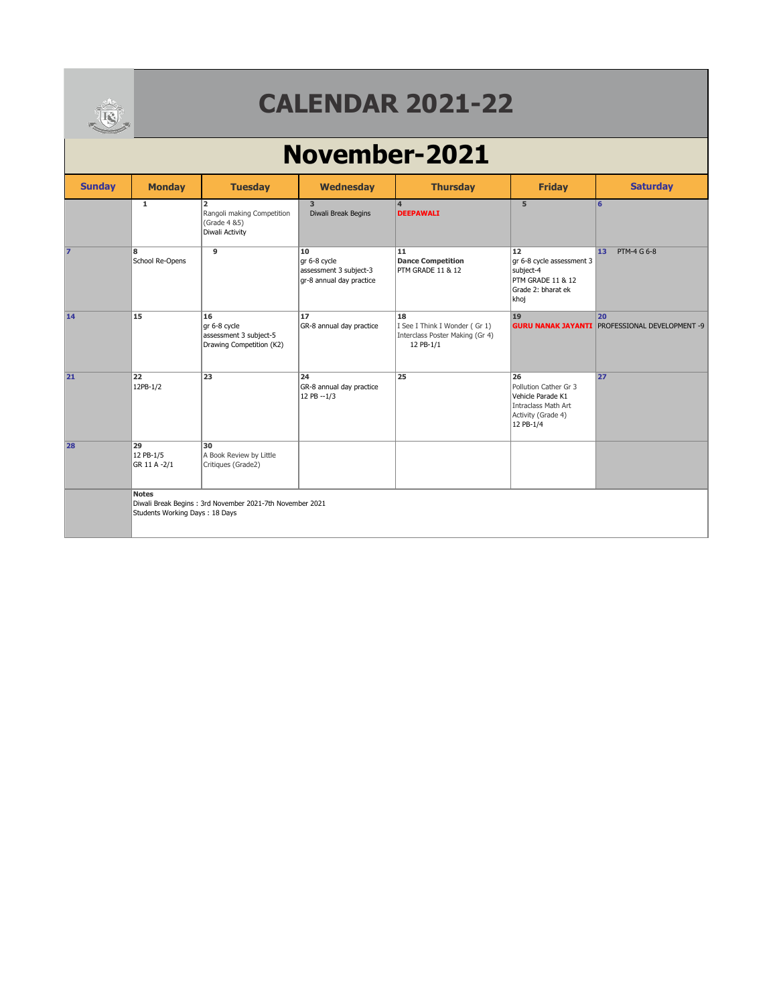

### **November-2021**

| <b>Sunday</b> | <b>Monday</b>                                  | <b>Tuesday</b>                                                                   | Wednesday                                                                | <b>Thursday</b>                                                                     | <b>Friday</b>                                                                                              | <b>Saturday</b>                                             |
|---------------|------------------------------------------------|----------------------------------------------------------------------------------|--------------------------------------------------------------------------|-------------------------------------------------------------------------------------|------------------------------------------------------------------------------------------------------------|-------------------------------------------------------------|
|               | $\mathbf{1}$                                   | $\overline{2}$<br>Rangoli making Competition<br>(Grade 4 & 5)<br>Diwali Activity | $\overline{3}$<br>Diwali Break Begins                                    | $\overline{4}$<br><b>DEEPAWALI</b>                                                  | 5                                                                                                          | 6                                                           |
| 17            | 8<br>School Re-Opens                           | 9                                                                                | 10<br>gr 6-8 cycle<br>assessment 3 subject-3<br>gr-8 annual day practice | 11<br><b>Dance Competition</b><br>PTM GRADE 11 & 12                                 | 12<br>gr 6-8 cycle assessment 3<br>subject-4<br>PTM GRADE 11 & 12<br>Grade 2: bharat ek<br>khoj            | PTM-4 G 6-8<br>13                                           |
| 14            | 15                                             | 16<br>gr 6-8 cycle<br>assessment 3 subject-5<br>Drawing Competition (K2)         | 17<br>GR-8 annual day practice                                           | 18<br>I See I Think I Wonder (Gr 1)<br>Interclass Poster Making (Gr 4)<br>12 PB-1/1 | 19                                                                                                         | 20<br><b>GURU NANAK JAYANTI PROFESSIONAL DEVELOPMENT -9</b> |
| 21            | 22<br>12PB-1/2                                 | 23                                                                               | 24<br>GR-8 annual day practice<br>12 PB -- 1/3                           | 25                                                                                  | 26<br>Pollution Cather Gr 3<br>Vehicle Parade K1<br>Intraclass Math Art<br>Activity (Grade 4)<br>12 PB-1/4 | 27                                                          |
| 28            | 29<br>12 PB-1/5<br>GR 11 A -2/1                | 30<br>A Book Review by Little<br>Critiques (Grade2)                              |                                                                          |                                                                                     |                                                                                                            |                                                             |
|               | <b>Notes</b><br>Students Working Days: 18 Days | Diwali Break Begins: 3rd November 2021-7th November 2021                         |                                                                          |                                                                                     |                                                                                                            |                                                             |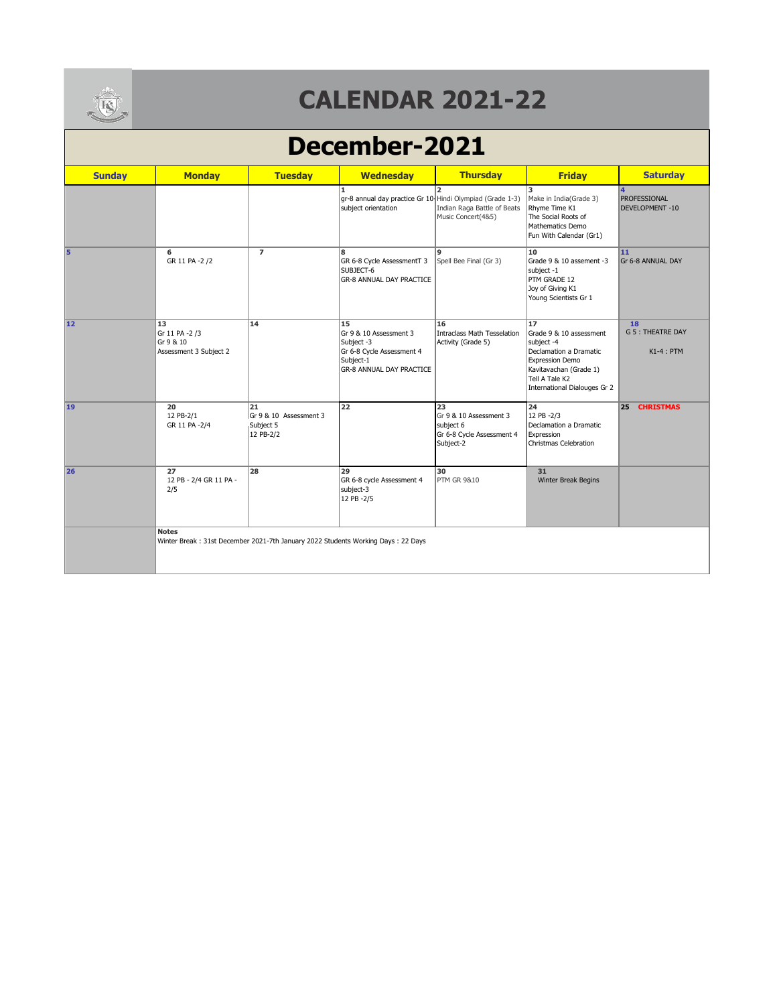

#### **December-2021**

| <b>Sunday</b> | <b>Monday</b>                                               | <b>Tuesday</b>                                         | <b>Wednesday</b>                                                                                                        | <b>Thursday</b>                                                                     | <b>Friday</b>                                                                                                                                                               | <b>Saturday</b>                                |
|---------------|-------------------------------------------------------------|--------------------------------------------------------|-------------------------------------------------------------------------------------------------------------------------|-------------------------------------------------------------------------------------|-----------------------------------------------------------------------------------------------------------------------------------------------------------------------------|------------------------------------------------|
|               |                                                             |                                                        | $\mathbf{1}$<br>gr-8 annual day practice Gr 10 Hindi Olympiad (Grade 1-3)<br>subject orientation                        | $\overline{2}$<br>Indian Raga Battle of Beats<br>Music Concert(4&5)                 | 3<br>Make in India(Grade 3)<br>Rhyme Time K1<br>The Social Roots of<br>Mathematics Demo<br>Fun With Calendar (Gr1)                                                          | PROFESSIONAL<br>DEVELOPMENT-10                 |
| 5             | 6<br>GR 11 PA -2 /2                                         | $\overline{ }$                                         | 8<br>GR 6-8 Cycle AssessmentT 3<br>SUBJECT-6<br><b>GR-8 ANNUAL DAY PRACTICE</b>                                         | $\overline{9}$<br>Spell Bee Final (Gr 3)                                            | 10<br>Grade 9 & 10 assement -3<br>subject -1<br>PTM GRADE 12<br>Joy of Giving K1<br>Young Scientists Gr 1                                                                   | 11<br>Gr 6-8 ANNUAL DAY                        |
| 12            | 13<br>Gr 11 PA -2 /3<br>Gr 9 & 10<br>Assessment 3 Subject 2 | 14                                                     | 15<br>Gr 9 & 10 Assessment 3<br>Subject -3<br>Gr 6-8 Cycle Assessment 4<br>Subject-1<br><b>GR-8 ANNUAL DAY PRACTICE</b> | 16<br>Intraclass Math Tesselation<br>Activity (Grade 5)                             | 17<br>Grade 9 & 10 assessment<br>subject -4<br>Declamation a Dramatic<br><b>Expression Demo</b><br>Kavitavachan (Grade 1)<br>Tell A Tale K2<br>International Dialouges Gr 2 | 18<br><b>G 5 : THEATRE DAY</b><br>$K1-4$ : PTM |
| 19            | 20<br>12 PB-2/1<br>GR 11 PA -2/4                            | 21<br>Gr 9 & 10 Assessment 3<br>Subject 5<br>12 PB-2/2 | 22                                                                                                                      | 23<br>Gr 9 & 10 Assessment 3<br>subject 6<br>Gr 6-8 Cycle Assessment 4<br>Subject-2 | 24<br>12 PB -2/3<br>Declamation a Dramatic<br>Expression<br>Christmas Celebration                                                                                           | 25<br><b>CHRISTMAS</b>                         |
| 26            | 27<br>12 PB - 2/4 GR 11 PA -<br>2/5                         | 28                                                     | 29<br>GR 6-8 cycle Assessment 4<br>subject-3<br>12 PB -2/5                                                              | 30<br><b>PTM GR 9&amp;10</b>                                                        | 31<br>Winter Break Begins                                                                                                                                                   |                                                |
|               | <b>Notes</b>                                                |                                                        | Winter Break: 31st December 2021-7th January 2022 Students Working Days: 22 Days                                        |                                                                                     |                                                                                                                                                                             |                                                |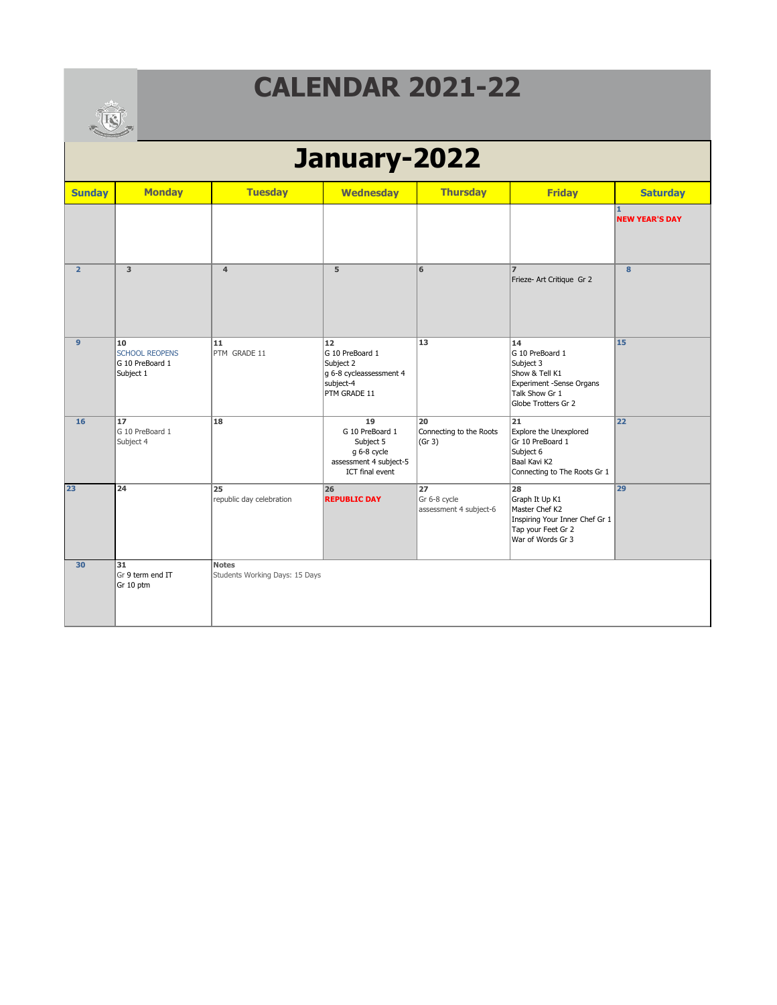

|                | <b>COLLEGE AND REAL PROPERTY</b>                            |                                                |                                                                                                |                                              |                                                                                                                           |                                       |  |  |  |
|----------------|-------------------------------------------------------------|------------------------------------------------|------------------------------------------------------------------------------------------------|----------------------------------------------|---------------------------------------------------------------------------------------------------------------------------|---------------------------------------|--|--|--|
|                | January-2022                                                |                                                |                                                                                                |                                              |                                                                                                                           |                                       |  |  |  |
| <b>Sunday</b>  | <b>Monday</b>                                               | <b>Tuesday</b>                                 | <b>Wednesday</b>                                                                               | <b>Thursday</b>                              | <b>Friday</b>                                                                                                             | <b>Saturday</b>                       |  |  |  |
|                |                                                             |                                                |                                                                                                |                                              |                                                                                                                           | $\mathbf{1}$<br><b>NEW YEAR'S DAY</b> |  |  |  |
| $\overline{2}$ | $\overline{\mathbf{3}}$                                     | $\overline{\mathbf{4}}$                        | $\overline{5}$                                                                                 | 6                                            | $\overline{z}$<br>Frieze- Art Critique Gr 2                                                                               | $\bf{8}$                              |  |  |  |
| $\mathbf{9}$   | 10<br><b>SCHOOL REOPENS</b><br>G 10 PreBoard 1<br>Subject 1 | 11<br>PTM GRADE 11                             | 12<br>G 10 PreBoard 1<br>Subject 2<br>g 6-8 cycleassessment 4<br>subject-4<br>PTM GRADE 11     | 13                                           | 14<br>G 10 PreBoard 1<br>Subject 3<br>Show & Tell K1<br>Experiment -Sense Organs<br>Talk Show Gr 1<br>Globe Trotters Gr 2 | 15                                    |  |  |  |
| 16             | 17<br>G 10 PreBoard 1<br>Subject 4                          | 18                                             | 19<br>G 10 PreBoard 1<br>Subject 5<br>g 6-8 cycle<br>assessment 4 subject-5<br>ICT final event | 20<br>Connecting to the Roots<br>(Gr 3)      | 21<br>Explore the Unexplored<br>Gr 10 PreBoard 1<br>Subject 6<br>Baal Kavi K2<br>Connecting to The Roots Gr 1             | 22                                    |  |  |  |
| 23             | $\overline{24}$                                             | 25<br>republic day celebration                 | 26<br><b>REPUBLIC DAY</b>                                                                      | 27<br>Gr 6-8 cycle<br>assessment 4 subject-6 | 28<br>Graph It Up K1<br>Master Chef K2<br>Inspiring Your Inner Chef Gr 1<br>Tap your Feet Gr 2<br>War of Words Gr 3       | 29                                    |  |  |  |
| 30             | 31<br>Gr 9 term end IT<br>Gr 10 ptm                         | <b>Notes</b><br>Students Working Days: 15 Days |                                                                                                |                                              |                                                                                                                           |                                       |  |  |  |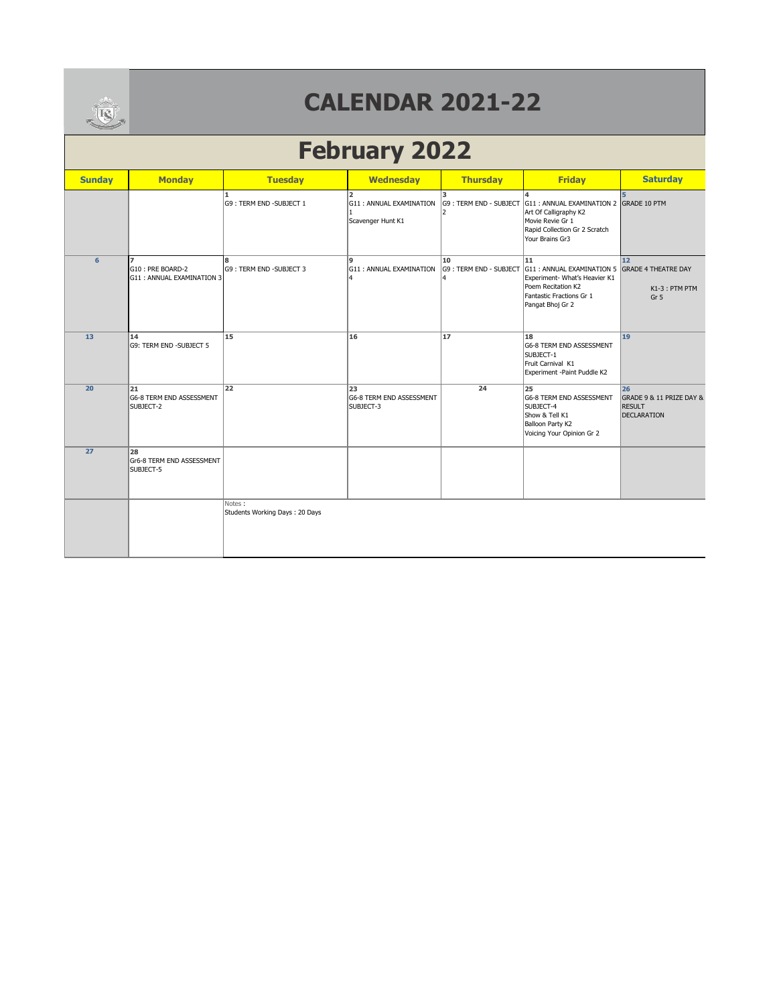

# **February 2022**

| <b>Sunday</b> | <b>Monday</b>                                                    | <b>Tuesday</b>                           | <b>Wednesday</b>                                               | <b>Thursday</b>                    | <b>Friday</b>                                                                                                                                               | <b>Saturday</b>                                                       |
|---------------|------------------------------------------------------------------|------------------------------------------|----------------------------------------------------------------|------------------------------------|-------------------------------------------------------------------------------------------------------------------------------------------------------------|-----------------------------------------------------------------------|
|               |                                                                  | 1.<br>G9: TERM END -SUBJECT 1            | $\overline{2}$<br>G11: ANNUAL EXAMINATION<br>Scavenger Hunt K1 | l3.<br>G9: TERM END - SUBJECT<br>2 | G11 : ANNUAL EXAMINATION 2 GRADE 10 PTM<br>Art Of Calligraphy K2<br>Movie Revie Gr 1<br>Rapid Collection Gr 2 Scratch<br>Your Brains Gr3                    | 5                                                                     |
| 6             | $\overline{ }$<br>G10: PRE BOARD-2<br>G11 : ANNUAL EXAMINATION 3 | 8<br>G9: TERM END -SUBJECT 3             | 9<br>G11 : ANNUAL EXAMINATION                                  | 10<br>G9: TERM END - SUBJECT<br>4  | 11<br>G11 : ANNUAL EXAMINATION 5 GRADE 4 THEATRE DAY<br>Experiment- What's Heavier K1<br>Poem Recitation K2<br>Fantastic Fractions Gr 1<br>Pangat Bhoj Gr 2 | 12<br>K1-3: PTM PTM<br>Gr <sub>5</sub>                                |
| 13            | 14<br>G9: TERM END -SUBJECT 5                                    | 15                                       | 16                                                             | 17                                 | 18<br>G6-8 TERM END ASSESSMENT<br>SUBJECT-1<br>Fruit Carnival K1<br>Experiment -Paint Puddle K2                                                             | 19                                                                    |
| 20            | 21<br>G6-8 TERM END ASSESSMENT<br>SUBJECT-2                      | $\overline{22}$                          | 23<br>G6-8 TERM END ASSESSMENT<br>SUBJECT-3                    | 24                                 | 25<br>G6-8 TERM END ASSESSMENT<br>SUBJECT-4<br>Show & Tell K1<br>Balloon Party K2<br>Voicing Your Opinion Gr 2                                              | 26<br>GRADE 9 & 11 PRIZE DAY &<br><b>RESULT</b><br><b>DECLARATION</b> |
| 27            | 28<br>Gr6-8 TERM END ASSESSMENT<br>SUBJECT-5                     |                                          |                                                                |                                    |                                                                                                                                                             |                                                                       |
|               |                                                                  | Notes:<br>Students Working Days: 20 Days |                                                                |                                    |                                                                                                                                                             |                                                                       |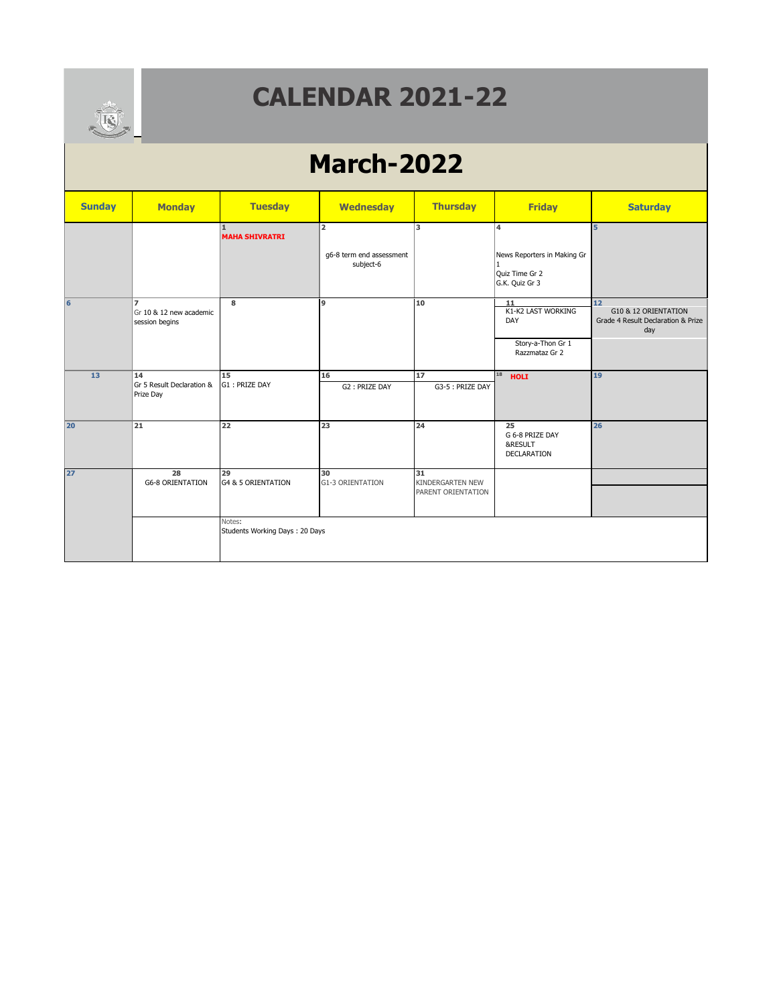

#### **MDAR 2021 CALENDAR 2021-22**

# **March-2022**

| <b>Sunday</b> | <b>Monday</b>                                               | <b>Tuesday</b>                           | <b>Wednesday</b>                                        | <b>Thursday</b>                                     | <b>Friday</b>                                                          | <b>Saturday</b>                                                         |
|---------------|-------------------------------------------------------------|------------------------------------------|---------------------------------------------------------|-----------------------------------------------------|------------------------------------------------------------------------|-------------------------------------------------------------------------|
|               |                                                             | 1<br><b>MAHA SHIVRATRI</b>               | $\overline{2}$<br>g6-8 term end assessment<br>subject-6 | 3                                                   | 14<br>News Reporters in Making Gr<br>Quiz Time Gr 2<br>G.K. Quiz Gr 3  | 5                                                                       |
| 6             | $\overline{ }$<br>Gr 10 & 12 new academic<br>session begins | 8                                        | 9                                                       | 10                                                  | 11<br>K1-K2 LAST WORKING<br>DAY<br>Story-a-Thon Gr 1<br>Razzmataz Gr 2 | 12<br>G10 & 12 ORIENTATION<br>Grade 4 Result Declaration & Prize<br>day |
| 13            | 14<br>Gr 5 Result Declaration &<br>Prize Day                | 15<br>G1: PRIZE DAY                      | 16<br>G2: PRIZE DAY                                     | 17<br>G3-5 : PRIZE DAY                              | 18<br><b>HOLI</b>                                                      | 19                                                                      |
| 20            | 21                                                          | 22                                       | 23                                                      | 24                                                  | 25<br>G 6-8 PRIZE DAY<br>&RESULT<br><b>DECLARATION</b>                 | 26                                                                      |
| 27            | 28<br><b>G6-8 ORIENTATION</b>                               | 29<br><b>G4 &amp; 5 ORIENTATION</b>      | 30<br><b>G1-3 ORIENTATION</b>                           | 31<br><b>KINDERGARTEN NEW</b><br>PARENT ORIENTATION |                                                                        |                                                                         |
|               |                                                             | Notes:<br>Students Working Days: 20 Days |                                                         |                                                     |                                                                        |                                                                         |